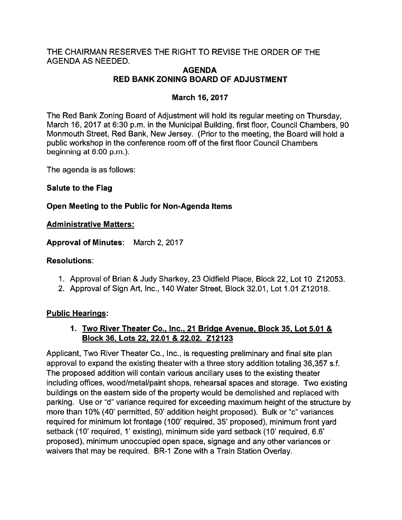## THE CHAIRMAN RESERVES THE RIGHT TO REVISE THE ORDER OF THE AGENDA AS NEEDED.

## AGENDA RED BANK ZONING BOARD OF ADJUSTMENT

## March 16, 2017

The Red Bank Zoning Board of Adjustment will hold its regular meeting on Thursday, March 16, 2017 at 6:30 p.m. in the Municipal Building, first floor, Council Chambers, 90 Monmouth Street, Red Bank, New Jersey. (Prior to the meeting, the Board will hold <sup>a</sup> public workshop in the conference room off of the first floor Council Chambers beginning at 6:00 p.m.).

The agenda is as follows:

## Salute to the Flag

## Open Meeting to the Public fot Non-Agenda Items

#### Administrative Matters:

Approval of Minutes: March 2, 2017

#### Resolutions:

- 1. Approval of Brian & Judy Sharkey, 23 Oldfield Place, Block 22, Lot 10 Z12053.
- 2. Approval of Sign Art, Inc., 140 Water Street, Block 32.01, Lot 1.01 Z12018.

#### Public Hearings:

## 1. Two Rivet Theater Co., Inc., 21 Bridge Avenue, Block 35, Lot 5.01 & Block 36, Lots 22, 22.01 & 22.02. Z12123

Applicant, Two River Theater Co., Inc., is requesting preliminary and final site plan approval to expand the existing theater with <sup>a</sup> three story addition totaling 36,357 s.f. The proposed addition will contain various ancillary uses to the existing theater including offices, wood/metal/paint shops, rehearsal spaces and storage. Two existing buildings on the eastern side of the property would be demolished and replaced with parking. Use or 'd" variance required for exceeding maximum height of the structure by more than 10% (40' permitted, 50' addition height proposed). Bulk or "c' variances required for minimum lot frontage (100' required, 35' proposed), minimum front yard setback (10' required, 1' existing), minimum side yard setback (10' required, 6.6' proposed), minimum unoccupied open space, signage and any other variances or waivers that may be required. BR-1 Zone with a Train Station Overlay.